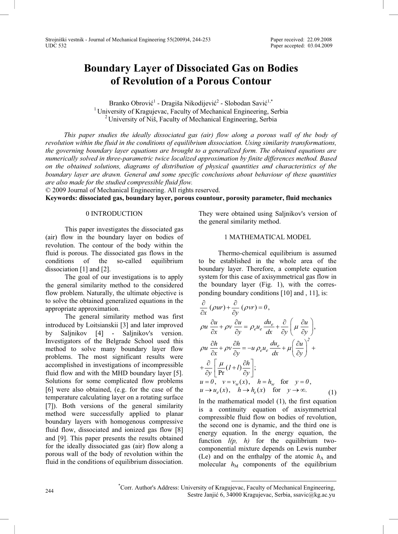# **Boundary Layer of Dissociated Gas on Bodies of Revolution of a Porous Contour**

Branko Obrović<sup>1</sup> - Dragiša Nikodijević<sup>2</sup> - Slobodan Savić<sup>1,\*</sup> <sup>1</sup> University of Kragujevac, Faculty of Mechanical Engineering, Serbia <sup>2</sup> University of Niš, Faculty of Mechanical Engineering, Serbia

 *This paper studies the ideally dissociated gas (air) flow along a porous wall of the body of revolution within the fluid in the conditions of equilibrium dissociation. Using similarity transformations, the governing boundary layer equations are brought to a generalized form. The obtained equations are numerically solved in three-parametric twice localized approximation by finite differences method. Based on the obtained solutions, diagrams of distribution of physical quantities and characteristics of the boundary layer are drawn. General and some specific conclusions about behaviour of these quantities are also made for the studied compressible fluid flow.*

© 2009 Journal of Mechanical Engineering. All rights reserved.

**Keywords: dissociated gas, boundary layer, porous countour, porosity parameter, fluid mechanics** 

## 0 INTRODUCTION

This paper investigates the dissociated gas (air) flow in the boundary layer on bodies of revolution. The contour of the body within the fluid is porous. The dissociated gas flows in the conditions of the so-called equilibrium dissociation  $[1]$  and  $[2]$ .

The goal of our investigations is to apply the general similarity method to the considered flow problem. Naturally, the ultimate objective is to solve the obtained generalized equations in the appropriate approximation.

The general similarity method was first introduced by Loitsianskii [3] and later improved by Saljnikov [4] - Saljnikov's version. Investigators of the Belgrade School used this method to solve many boundary layer flow problems. The most significant results were accomplished in investigations of incompressible fluid flow and with the MHD boundary layer  $[5]$ . Solutions for some complicated flow problems  $[6]$  were also obtained, (e.g. for the case of the temperature calculating layer on a rotating surface [7]). Both versions of the general similarity method were successfully applied to planar boundary layers with homogenous compressive fluid flow, dissociated and ionized gas flow  $[8]$ and [9]. This paper presents the results obtained for the ideally dissociated gas (air) flow along a porous wall of the body of revolution within the fluid in the conditions of equilibrium dissociation. They were obtained using Saljnikov's version of the general similarity method.

## 1 MATHEMATICAL MODEL

Thermo-chemical equilibrium is assumed to be established in the whole area of the boundary layer. Therefore, a complete equation system for this case of axisymmetrical gas flow in the boundary layer (Fig. 1), with the corresponding boundary conditions  $[10]$  and , 11], is:

$$
\frac{\partial}{\partial x} (\rho ur) + \frac{\partial}{\partial y} (\rho vr) = 0,
$$
\n
$$
\rho u \frac{\partial u}{\partial x} + \rho v \frac{\partial u}{\partial y} = \rho_e u_e \frac{du_e}{dx} + \frac{\partial}{\partial y} \left( \mu \frac{\partial u}{\partial y} \right),
$$
\n
$$
\rho u \frac{\partial h}{\partial x} + \rho v \frac{\partial h}{\partial y} = -u \rho_e u_e \frac{du_e}{dx} + \mu \left( \frac{\partial u}{\partial y} \right)^2 + \frac{\partial}{\partial y} \left[ \frac{\mu}{\text{Pr}} (I + I) \frac{\partial h}{\partial y} \right];
$$
\n
$$
u = 0, \quad v = v_w(x), \quad h = h_w \quad \text{for} \quad y = 0,
$$
\n
$$
u \to u_e(x), \quad h \to h_e(x) \quad \text{for} \quad y \to \infty.
$$
\n(1)

In the mathematical model (1), the first equation is a continuity equation of axisymmetrical compressible fluid flow on bodies of revolution, the second one is dynamic, and the third one is energy equation. In the energy equation, the function *l(p, h)* for the equilibrium twocomponential mixture depends on Lewis number (Le) and on the enthalpy of the atomic  $h_A$  and molecular  $h_M$  components of the equilibrium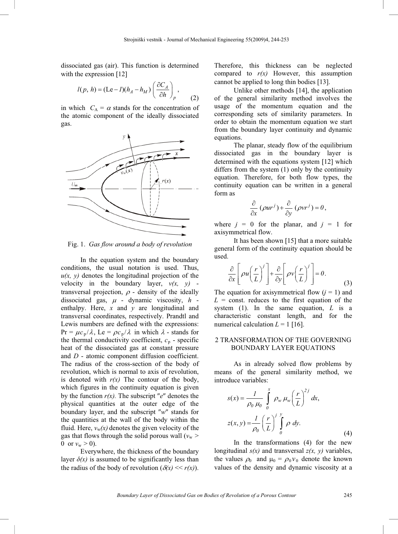dissociated gas (air). This function is determined with the expression  $[12]$ 

$$
l(p, h) = (\text{Le}-1)(h_A - h_M) \left(\frac{\partial C_A}{\partial h}\right)_p, \tag{2}
$$

in which  $C_A = \alpha$  stands for the concentration of the atomic component of the ideally dissociated gas.



Fig. 1. *Gas flow around a body of revolution*

In the equation system and the boundary conditions, the usual notation is used. Thus,  $u(x, y)$  denotes the longitudinal projection of the velocity in the boundary layer,  $v(x, y)$  transversal projection,  $\rho$  - density of the ideally dissociated gas,  $\mu$  - dynamic viscosity,  $h$  enthalpy. Here, *x* and *y* are longitudinal and transversal coordinates, respectively. Prandtl and Lewis numbers are defined with the expressions:  $Pr = \mu c_p / \lambda$ , Le =  $\rho c_p / \lambda$  in which  $\lambda$  - stands for the thermal conductivity coefficient,  $c_p$  - specific heat of the dissociated gas at constant pressure and *D* - atomic component diffusion coefficient. The radius of the cross-section of the body of revolution, which is normal to axis of revolution, is denoted with  $r(x)$  The contour of the body, which figures in the continuity equation is given by the function  $r(x)$ . The subscript " $e$ " denotes the physical quantities at the outer edge of the boundary layer, and the subscript " $w$ " stands for the quantities at the wall of the body within the fluid. Here,  $v_w(x)$  denotes the given velocity of the gas that flows through the solid porous wall  $(v_w >$ 0 or  $v_w > 0$ ).

Everywhere, the thickness of the boundary layer  $\delta(x)$  is assumed to be significantly less than the radius of the body of revolution  $(\delta(x) \ll r(x))$ . Therefore, this thickness can be neglected compared to  $r(x)$  However, this assumption cannot be applied to long thin bodies [13].

Unlike other methods  $[14]$ , the application of the general similarity method involves the usage of the momentum equation and the corresponding sets of similarity parameters. In order to obtain the momentum equation we start from the boundary layer continuity and dynamic equations.

The planar, steady flow of the equilibrium dissociated gas in the boundary layer is determined with the equations system  $[12]$  which differs from the system (1) only by the continuity equation. Therefore, for both flow types, the continuity equation can be written in a general form as

$$
\frac{\partial}{\partial x} \left( \rho u r^{j} \right) + \frac{\partial}{\partial y} \left( \rho v r^{j} \right) = 0,
$$

where  $j = 0$  for the planar, and  $j = 1$  for axisymmetrical flow.

It has been shown  $[15]$  that a more suitable general form of the continuity equation should be used.

$$
\frac{\partial}{\partial x} \left[ \rho u \left( \frac{r}{L} \right)^j \right] + \frac{\partial}{\partial y} \left[ \rho v \left( \frac{r}{L} \right)^j \right] = 0. \tag{3}
$$

The equation for axisymmetrical flow  $(i = 1)$  and  $L =$  const. reduces to the first equation of the system (1). In the same equation, *L* is a characteristic constant length, and for the numerical calculation  $L = 1$  [16].

## 2 TRANSFORMATION OF THE GOVERNING BOUNDARY LAYER EQUATIONS

As in already solved flow problems by means of the general similarity method, we introduce variables:

$$
s(x) = \frac{1}{\rho_0 \mu_0} \int_0^x \rho_w \mu_w \left(\frac{r}{L}\right)^{2j} dx,
$$
  

$$
z(x, y) = \frac{1}{\rho_0} \left(\frac{r}{L}\right)^{j} \int_0^y \rho dy.
$$
 (4)

In the transformations (4) for the new longitudinal *s(x)* and transversal *z(x, y)* variables, the values  $\rho_0$  and  $\mu_0 = \rho_0 v_0$  denote the known values of the density and dynamic viscosity at a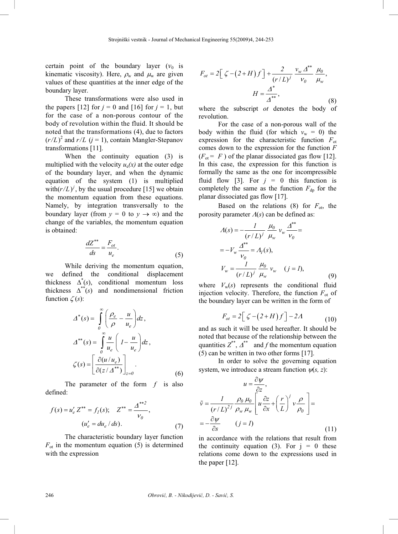certain point of the boundary layer  $(v_0)$  is kinematic viscosity). Here,  $\rho_w$  and  $\mu_w$  are given values of these quantities at the inner edge of the boundary layer.

These transformations were also used in the papers  $\lceil 12 \rceil$  for  $j = 0$  and  $\lceil 16 \rceil$  for  $j = 1$ , but for the case of a non-porous contour of the body of revolution within the fluid. It should be noted that the transformations (4), due to factors  $(r/L)^2$  and  $r/L$  ( $j = 1$ ), contain Mangler-Stepanov transformations [11].

When the continuity equation (3) is multiplied with the velocity  $u_e(x)$  at the outer edge of the boundary layer, and when the dynamic equation of the system (1) is multiplied with $(r/L)^j$ , by the usual procedure [15] we obtain the momentum equation from these equations. Namely, by integration transversally to the boundary layer (from  $y = 0$  to  $y \rightarrow \infty$ ) and the change of the variables, the momentum equation is obtained:

$$
\frac{dZ^{**}}{ds} = \frac{F_{ot}}{u_e}.\tag{5}
$$

While deriving the momentum equation, we defined the conditional displacement thickness  $\Delta^*(s)$ , conditional momentum loss thickness  $\Delta^{**}(s)$  and nondimensional friction function  $\zeta(s)$ :

$$
\Delta^*(s) = \int_0^\infty \left(\frac{\rho_e}{\rho} - \frac{u}{u_e}\right) dz,
$$
  

$$
\Delta^{**}(s) = \int_0^\infty \frac{u}{u_e} \left(1 - \frac{u}{u_e}\right) dz,
$$
  

$$
\zeta(s) = \left[\frac{\partial(u/u_e)}{\partial(z/\Delta^{**})}\right]_{z=0}.
$$
 (6)

The parameter of the form *f* is also defined:

$$
f(s) = u'_e Z^{**} = f_I(s); \quad Z^{**} = \frac{\Delta^{**2}}{v_0},
$$

$$
(u'_e = du_e / ds).
$$
 (7)

The characteristic boundary layer function  $F_{\text{ot}}$  in the momentum equation (5) is determined with the expression

$$
F_{ot} = 2\left[\zeta - (2+H)f\right] + \frac{2}{(r/L)^j} \frac{v_w \Delta^{**}}{v_0} \frac{\mu_0}{\mu_w},
$$

$$
H = \frac{\Delta^*}{\Delta^{**}},
$$
(8)

where the subscript *ot* denotes the body of revolution.

For the case of a non-porous wall of the body within the fluid (for which  $v_w = 0$ ) the expression for the characteristic function  $F_{\text{ot}}$ comes down to the expression for the function *F*  $(F<sub>ot</sub> = F)$  of the planar dissociated gas flow [12]. In this case, the expression for this function is formally the same as the one for incompressible fluid flow [3]. For  $j = 0$  this function is completely the same as the function  $F_{dp}$  for the planar dissociated gas flow [17].

Based on the relations  $(8)$  for  $F_{\text{ot}}$ , the porosity parameter  $\Lambda(s)$  can be defined as:

$$
A(s) = -\frac{1}{(r/L)^j} \frac{\mu_0}{\mu_w} v_w \frac{\Delta^{**}}{v_0} =
$$
  
=  $-V_w \frac{\Delta^{**}}{v_0} = A_I(s),$   

$$
V_w = \frac{1}{(r/L)^j} \frac{\mu_0}{\mu_w} v_w \quad (j = I),
$$
 (9)

where  $V_w(s)$  represents the conditional fluid injection velocity. Therefore, the function  $F_{\text{ot}}$  of the boundary layer can be written in the form of

$$
F_{ot} = 2\left[\zeta - (2+H)f\right] - 2\Lambda\tag{10}
$$

and as such it will be used hereafter. It should be noted that because of the relationship between the quantities  $Z^{**}$ ,  $\Delta^{**}$  and *f* the momentum equation  $(5)$  can be written in two other forms [17].

In order to solve the governing equation system, we introduce a stream function  $\psi(s, z)$ :

$$
u = \frac{\partial \psi}{\partial z},
$$
  
\n
$$
\tilde{v} = \frac{1}{(r/L)^{2j}} \frac{\rho_0 \mu_0}{\rho_w \mu_w} \left[ u \frac{\partial z}{\partial x} + \left( \frac{r}{L} \right)^j v \frac{\rho}{\rho_0} \right] =
$$
  
\n
$$
= -\frac{\partial \psi}{\partial s} \qquad (j = I)
$$
\n(11)

in accordance with the relations that result from the continuity equation (3). For  $j = 0$  these relations come down to the expressions used in the paper  $[12]$ .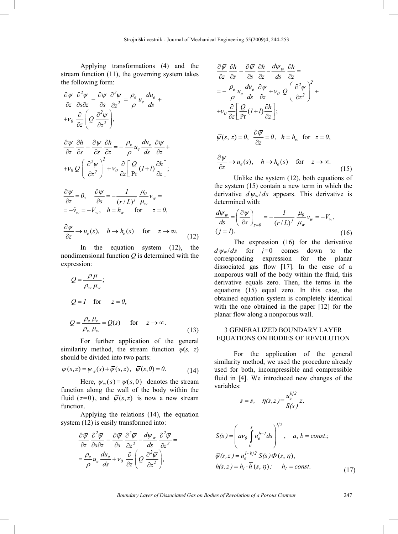Applying transformations (4) and the stream function (11), the governing system takes the following form:

$$
\frac{\partial \psi}{\partial z} \frac{\partial^2 \psi}{\partial s \partial z} - \frac{\partial \psi}{\partial s} \frac{\partial^2 \psi}{\partial z^2} = \frac{\rho_e}{\rho} u_e \frac{du_e}{ds} + v_0 \frac{\partial}{\partial z} \left( Q \frac{\partial^2 \psi}{\partial z^2} \right),
$$

$$
\frac{\partial \psi}{\partial z} \frac{\partial h}{\partial s} - \frac{\partial \psi}{\partial s} \frac{\partial h}{\partial z} = -\frac{\rho_e}{\rho} u_e \frac{du_e}{ds} \frac{\partial \psi}{\partial z} ++ \nu_0 Q \left( \frac{\partial^2 \psi}{\partial z^2} \right)^2 + \nu_0 \frac{\partial}{\partial z} \left[ \frac{Q}{\text{Pr}} (I+l) \frac{\partial h}{\partial z} \right];
$$

$$
\frac{\partial \psi}{\partial z} = 0, \quad \frac{\partial \psi}{\partial s} = -\frac{1}{(r/L)^j} \frac{\mu_0}{\mu_w} v_w =
$$
  
=  $-\tilde{v}_w = -V_w$ ,  $h = h_w$  for  $z = 0$ ,  
 $\partial \psi$ 

$$
\frac{\partial \varphi}{\partial z} \to u_e(s), \quad h \to h_e(s) \quad \text{for} \quad z \to \infty. \tag{12}
$$

In the equation system (12), the nondimensional function *Q* is determined with the expression:

$$
Q = \frac{\rho \mu}{\rho_w \mu_w};
$$
  
\n
$$
Q = I \quad \text{for} \quad z = 0,
$$
  
\n
$$
Q = \frac{\rho_e \mu_e}{\rho_w \mu_w} = Q(s) \quad \text{for} \quad z \to \infty.
$$
\n(13)

For further application of the general similarity method, the stream function  $\psi(s, z)$ should be divided into two parts:

$$
\psi(s, z) = \psi_w(s) + \overline{\psi}(s, z), \quad \overline{\psi}(s, 0) = 0.
$$
 (14)

Here,  $\psi_w (s) = \psi(s,0)$  denotes the stream function along the wall of the body within the fluid ( $z=0$ ), and  $\overline{\psi}(s, z)$  is now a new stream function.

Applying the relations (14), the equation system (12) is easily transformed into:

$$
\frac{\partial \overline{\psi}}{\partial z} \frac{\partial^2 \overline{\psi}}{\partial s \partial z} - \frac{\partial \overline{\psi}}{\partial s} \frac{\partial^2 \overline{\psi}}{\partial z^2} - \frac{d \psi_w}{ds} \frac{\partial^2 \overline{\psi}}{\partial z^2} = \n= \frac{\rho_e}{\rho} u_e \frac{du_e}{ds} + v_\theta \frac{\partial}{\partial z} \left( Q \frac{\partial^2 \overline{\psi}}{\partial z^2} \right),
$$

$$
\frac{\partial \overline{\psi}}{\partial z} \frac{\partial h}{\partial s} - \frac{\partial \overline{\psi}}{\partial s} \frac{\partial h}{\partial z} - \frac{d\psi_w}{ds} \frac{\partial h}{\partial z} =
$$
\n
$$
= -\frac{\rho_e}{\rho} u_e \frac{du_e}{ds} \frac{\partial \overline{\psi}}{\partial z} + v_0 Q \left( \frac{\partial^2 \overline{\psi}}{\partial z^2} \right)^2 +
$$
\n
$$
+v_0 \frac{\partial}{\partial z} \left[ \frac{Q}{\text{Pr}} (1+l) \frac{\partial h}{\partial z} \right];
$$
\n
$$
\overline{\psi}(s, z) = 0, \frac{\partial \overline{\psi}}{\partial z} = 0, \quad h = h_w \text{ for } z = 0,
$$
\n
$$
\frac{\partial \overline{\psi}}{\partial z} \rightarrow u_e(s), \quad h \rightarrow h_e(s) \text{ for } z \rightarrow \infty.
$$

 $\partial z$  (15) Unlike the system (12), both equations of the system (15) contain a new term in which the derivative  $d\psi_{w}/ds$  appears. This derivative is determined with:

$$
\frac{d\psi_w}{ds} = \left(\frac{\partial \psi}{\partial s}\right)_{z=0} = -\frac{1}{(r/L)^j} \frac{\mu_0}{\mu_w} v_w = -V_w,
$$
\n
$$
(j = I). \tag{16}
$$

The expression (16) for the derivative  $d\psi_{\rm w}/ds$  for *j*=0 comes down to the corresponding expression for the planar dissociated gas flow  $[17]$ . In the case of a nonporous wall of the body within the fluid, this derivative equals zero. Then, the terms in the equations (15) equal zero. In this case, the obtained equation system is completely identical with the one obtained in the paper  $[12]$  for the planar flow along a nonporous wall.

## 3 GENERALIZED BOUNDARY LAYER EQUATIONS ON BODIES OF REVOLUTION

For the application of the general similarity method, we used the procedure already used for both, incompressible and compressible fluid in  $[4]$ . We introduced new changes of the variables:

$$
s = s, \quad \eta(s, z) = \frac{u_e^{b/2}}{S(s)} z,
$$

$$
S(s) = \left( av_0 \int_0^s u_e^{b-1} ds \right)^{1/2}, \quad a, b = const.;
$$
  

$$
\overline{\psi}(s, z) = u_e^{1-b/2} S(s) \Phi(s, \eta),
$$
  

$$
h(s, z) = h_1 \cdot \overline{h}(s, \eta); \quad h_1 = const.
$$
 (17)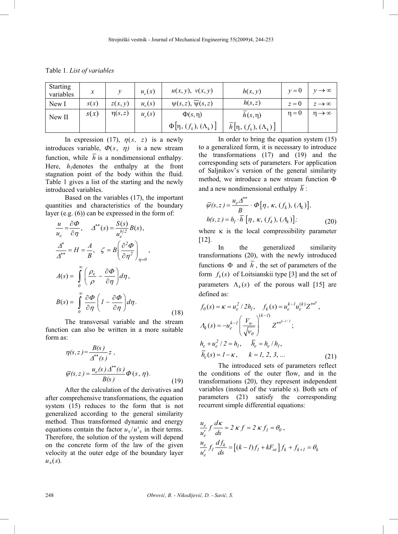Table 1. *List of variables* 

| <b>Starting</b><br>variables | $\boldsymbol{x}$ |             | $u_{\rho}(x)$ | u(x, y), v(x, y)                     | h(x, y)                                | $v=0$      | $\rightarrow \infty$   |
|------------------------------|------------------|-------------|---------------|--------------------------------------|----------------------------------------|------------|------------------------|
| New I                        | s(x)             | z(x, y)     | $u_e(s)$      | $\psi(s,z), \overline{\psi}(s,z)$    | h(s, z)                                | $z=0$      | $z \rightarrow \infty$ |
| New II                       | s(x)             | $\eta(s,z)$ | $u_{e}(s)$    | $\Phi(s,\eta)$                       | $h(s,\eta)$                            | $\eta = 0$ | $n \rightarrow \infty$ |
|                              |                  |             |               | $\Phi$ [η, $(f_k)$ , $(\Lambda_k)$ ] | $\overline{h}[\eta,(f_k),(\Lambda_k)]$ |            |                        |

In expression (17),  $\eta(s, z)$  is a newly introduces variable,  $\Phi(s, \eta)$  is a new stream function, while  $\overline{h}$  is a nondimensional enthalpy. Here,  $h_1$ denotes the enthalpy at the front stagnation point of the body within the fluid. Table 1 gives a list of the starting and the newly introduced variables.

Based on the variables (17), the important quantities and characteristics of the boundary layer (e.g. (6)) can be expressed in the form of:

$$
\frac{u}{u_e} = \frac{\partial \Phi}{\partial \eta}, \quad \Delta^{**}(s) = \frac{S(s)}{u_e^{b/2}} B(s),
$$
  

$$
\frac{\Delta^*}{\Delta^{**}} = H = \frac{A}{B}, \quad \zeta = B \left( \frac{\partial^2 \Phi}{\partial \eta^2} \right)_{\eta = 0},
$$
  

$$
A(s) = \int_0^\infty \left( \frac{\rho_e}{\rho} - \frac{\partial \Phi}{\partial \eta} \right) d\eta,
$$
  

$$
B(s) = \int_0^\infty \frac{\partial \Phi}{\partial \eta} \left( I - \frac{\partial \Phi}{\partial \eta} \right) d\eta.
$$
 (18)

The transversal variable and the stream function can also be written in a more suitable form as:

$$
\eta(s, z) = \frac{B(s)}{\Delta^{**}(s)} z,
$$
  

$$
\overline{\psi}(s, z) = \frac{u_e(s)\Delta^{**}(s)}{B(s)} \Phi(s, \eta).
$$
 (19)

After the calculation of the derivatives and after comprehensive transformations, the equation system (15) reduces to the form that is not generalized according to the general similarity method. Thus transformed dynamic and energy equations contain the factor  $u_e/u_e$  in their terms. Therefore, the solution of the system will depend on the concrete form of the law of the given velocity at the outer edge of the boundary layer  $u_{e}(s)$ .

In order to bring the equation system (15) to a generalized form, it is necessary to introduce the transformations (17) and (19) and the corresponding sets of parameters. For application of Saljnikov's version of the general similarity method, we introduce a new stream function  $\Phi$ and a new nondimensional enthalpy  $\overline{h}$ :

$$
\overline{\psi}(s,z) = \frac{u_e \Delta^{**}}{B} \cdot \Phi[\eta, \kappa, (f_k), (A_k)],
$$
  
 
$$
h(s,z) = h_l \cdot \overline{h} [\eta, \kappa, (f_k), (A_k)];
$$
 (20)

where  $\kappa$  is the local compressibility parameter  $[12]$ .

In the generalized similarity transformations (20), with the newly introduced functions  $\Phi$  and  $\overline{h}$ , the set of parameters of the form  $f_k(s)$  of Loitsianskii type [3] and the set of parameters  $\Lambda_k(s)$  of the porous wall [15] are defined as:

$$
f_0(s) = \kappa = u_e^2 / 2h_l, \quad f_k(s) = u_e^{k-l} u_e^{(k)} Z^{**^k},
$$
  
\n
$$
A_k(s) = -u_e^{k-l} \left( \frac{V_w}{\sqrt{V_0}} \right)^{(k-l)} Z^{**^{k-l/2}};
$$
  
\n
$$
h_e + u_e^2 / 2 = h_l, \quad \overline{h}_e = h_e / h_l,
$$
  
\n
$$
\overline{h}_e(s) = 1 - \kappa, \quad k = l, 2, 3, ...
$$
\n(21)

The introduced sets of parameters reflect the conditions of the outer flow, and in the transformations (20), they represent independent variables (instead of the variable s). Both sets of parameters (21) satisfy the corresponding recurrent simple differential equations:

$$
\frac{u_e}{u'_e} f \frac{d\kappa}{ds} = 2 \kappa f = 2 \kappa f_I = \theta_0,
$$
  

$$
\frac{u_e}{u'_e} f_I \frac{df_k}{ds} = [(k - I) f_I + kF_{ot}] f_k + f_{k+I} = \theta_k
$$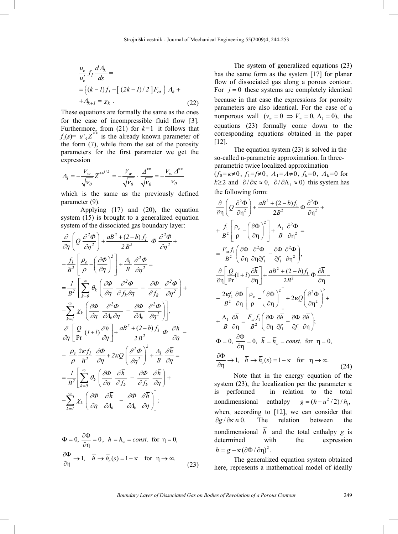$$
\frac{u_e}{u'_e} f_l \frac{dA_k}{ds} =
$$
\n
$$
= \left\{ (k-l) f_l + \left[ (2k-l)/2 \right] F_{ot} \right\} A_k +
$$
\n
$$
+ A_{k+l} = \chi_k .
$$
\n(22)

These equations are formally the same as the ones for the case of incompressible fluid flow  $[3]$ . Furthermore, from  $(21)$  for  $k=1$  it follows that  $f_1(s) = u' e^{2^{*t}}$  is the already known parameter of the form (7), while from the set of the porosity parameters for the first parameter we get the expression

$$
A_{I} = -\frac{V_{w}}{\sqrt{V_{0}}} Z^{**^{1/2}} = -\frac{V_{w}}{\sqrt{V_{0}}} \cdot \frac{\Delta^{**}}{\sqrt{V_{0}}} = -\frac{V_{w} \Delta^{**}}{V_{0}}
$$

which is the same as the previously defined parameter (9).

Applying (17) and (20), the equation system (15) is brought to a generalized equation system of the dissociated gas boundary layer:

$$
\frac{\partial}{\partial \eta} \left( Q \frac{\partial^2 \Phi}{\partial \eta^2} \right) + \frac{aB^2 + (2-b)f_1}{2B^2} \Phi \frac{\partial^2 \Phi}{\partial \eta^2} +
$$
\n
$$
+ \frac{f_1}{B^2} \left[ \frac{\rho_e}{\rho} - \left( \frac{\partial \Phi}{\partial \eta} \right)^2 \right] + \frac{A_1}{B} \frac{\partial^2 \Phi}{\partial \eta^2} =
$$
\n
$$
= \frac{1}{B^2} \left[ \sum_{k=0}^{\infty} \theta_k \left( \frac{\partial \Phi}{\partial \eta} \frac{\partial^2 \Phi}{\partial f_k \partial \eta} - \frac{\partial \Phi}{\partial f_k} \frac{\partial^2 \Phi}{\partial \eta^2} \right) +
$$
\n
$$
+ \sum_{k=1}^{\infty} \chi_k \left( \frac{\partial \Phi}{\partial \eta} \frac{\partial^2 \Phi}{\partial A_k \partial \eta} - \frac{\partial \Phi}{\partial A_k} \frac{\partial^2 \Phi}{\partial \eta^2} \right) \Bigg],
$$
\n
$$
\frac{\partial}{\partial \eta} \left[ \frac{Q}{\text{Pr}} (I + I) \frac{\partial \overline{h}}{\partial \eta} \right] + \frac{aB^2 + (2-b)f_1}{2B^2} \Phi \frac{\partial \overline{h}}{\partial \eta} -
$$
\n
$$
- \frac{\rho_e}{\rho} \frac{2\kappa f_1}{B^2} \frac{\partial \Phi}{\partial \eta} + 2\kappa Q \left( \frac{\partial^2 \Phi}{\partial \eta^2} \right)^2 + \frac{A_1}{B} \frac{\partial \overline{h}}{\partial \eta} =
$$
\n
$$
= \frac{I}{B^2} \left[ \sum_{k=0}^{\infty} \theta_k \left( \frac{\partial \Phi}{\partial \eta} \frac{\partial \overline{h}}{\partial f_k} - \frac{\partial \Phi}{\partial f_k} \frac{\partial \overline{h}}{\partial \eta} \right) +
$$
\n
$$
+ \sum_{k=1}^{\infty} \chi_k \left( \frac{\partial \Phi}{\partial \eta} \frac{\partial \overline{h}}{\partial A_k} - \frac{\partial \Phi}{\partial A_k} \frac{\partial \overline{h}}{\partial \eta} \right) \Bigg];
$$

$$
\Phi = 0, \ \frac{\partial \Phi}{\partial \eta} = 0, \ \overline{h} = \overline{h}_w = const. \text{ for } \eta = 0,
$$
  

$$
\frac{\partial \Phi}{\partial \eta} \to 1, \quad \overline{h} \to \overline{h}_e(s) = 1 - \kappa \quad \text{for } \eta \to \infty.
$$
 (23)

The system of generalized equations (23) has the same form as the system  $[17]$  for planar flow of dissociated gas along a porous contour. For  $j = 0$  these systems are completely identical because in that case the expressions for porosity parameters are also identical. For the case of a nonporous wall  $(v_w = 0 \implies V_w = 0, \Lambda_1 = 0)$ , the equations (23) formally come down to the corresponding equations obtained in the paper  $[12]$ .

The equation system (23) is solved in the so-called n-parametric approximation. In threeparametric twice localized approximation  $(f_0 = \kappa \neq 0, f_1 = f \neq 0, A_1 = A \neq 0, f_k = 0, A_k = 0$  for  $k \geq 2$  and  $\partial/\partial \kappa \approx 0$ ,  $\partial/\partial \Lambda_1 \approx 0$ ) this system has the following form:

$$
\frac{\partial}{\partial \eta} \left( Q \frac{\partial^2 \Phi}{\partial \eta^2} \right) + \frac{aB^2 + (2 - b)f_1}{2B^2} \Phi \frac{\partial^2 \Phi}{\partial \eta^2} +
$$
\n
$$
+ \frac{f_1}{B^2} \left[ \frac{\rho_e}{\rho} - \left( \frac{\partial \Phi}{\partial \eta} \right)^2 \right] + \frac{\Lambda_1}{B} \frac{\partial^2 \Phi}{\partial \eta^2} =
$$
\n
$$
= \frac{F_{of} f_1}{B^2} \left( \frac{\partial \Phi}{\partial \eta} \frac{\partial^2 \Phi}{\partial \eta \partial f_1} - \frac{\partial \Phi}{\partial f_1} \frac{\partial^2 \Phi}{\partial \eta^2} \right),
$$
\n
$$
\frac{\partial}{\partial \eta} \left[ \frac{Q}{\text{Pr}} (1 + l) \frac{\partial \overline{h}}{\partial \eta} \right] + \frac{aB^2 + (2 - b)f_1}{2B^2} \Phi \frac{\partial \overline{h}}{\partial \eta} -
$$
\n
$$
- \frac{2\kappa f_1}{B^2} \frac{\partial \Phi}{\partial \eta} \left[ \frac{\rho_e}{\rho} - \left( \frac{\partial \Phi}{\partial \eta} \right)^2 \right] + 2\kappa Q \left( \frac{\partial^2 \Phi}{\partial \eta^2} \right)^2 +
$$
\n
$$
+ \frac{\Lambda_1}{B} \frac{\partial \overline{h}}{\partial \eta} = \frac{F_{of} f_1}{B^2} \left( \frac{\partial \Phi}{\partial \eta} \frac{\partial \overline{h}}{\partial f_1} - \frac{\partial \Phi}{\partial f_1} \frac{\partial \overline{h}}{\partial \eta} \right);
$$
\n
$$
\Phi = 0, \frac{\partial \Phi}{\partial \eta} = 0, \quad \overline{h} = \overline{h_w} = const. \text{ for } \eta \to \infty.
$$
\n(24)

Note that in the energy equation of the system (23), the localization per the parameter  $\kappa$  is performed in relation to the total in relation to the total nondimensional enthalpy  $g = (h + u^2 / 2) / h$ <sub>1</sub>, when, according to  $[12]$ , we can consider that  $\partial g / \partial \kappa \approx 0$ . The relation between the nondimensional  $\overline{h}$  and the total enthalpy *g* is determined with the expression  $\overline{h} = g - \kappa (\partial \Phi / \partial \eta)^2$ .

The generalized equation system obtained here, represents a mathematical model of ideally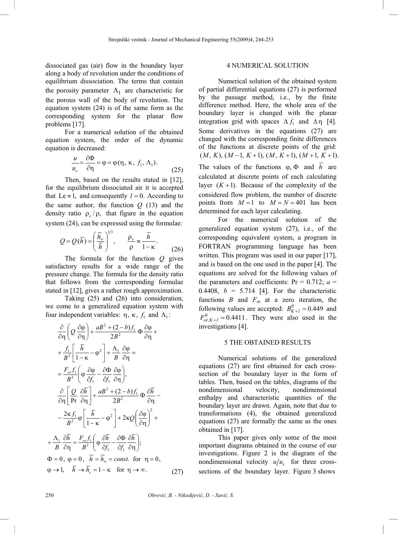dissociated gas (air) flow in the boundary layer along a body of revolution under the conditions of equilibrium dissociation. The terms that contain the porosity parameter  $\Lambda_1$  are characteristic for the porous wall of the body of revolution. The equation system (24) is of the same form as the corresponding system for the planar flow problems [17].

For a numerical solution of the obtained equation system, the order of the dynamic equation is decreased:

$$
\frac{u}{u_e} = \frac{\partial \Phi}{\partial \eta} = \varphi = \varphi(\eta, \kappa, f_1, \Lambda_1).
$$
 (25)

Then, based on the results stated in  $[12]$ , for the equilibrium dissociated air it is accepted that Le  $\approx$  1, and consequently *l* = 0. According to the same author, the function  $Q(13)$  and the density ratio  $\rho$  / $\rho$ , that figure in the equation system (24), can be expressed using the formulae:

$$
Q = Q(\overline{h}) = \left(\frac{\overline{h}_{w}}{\overline{h}}\right)^{1/3}, \qquad \frac{\rho_e}{\rho} \approx \frac{\overline{h}}{1 - \kappa}.
$$
 (26)

The formula for the function *Q* gives satisfactory results for a wide range of the pressure change. The formula for the density ratio that follows from the corresponding formulae stated in [12], gives a rather rough approximation.

Taking (25) and (26) into consideration, we come to a generalized equation system with four independent variables:  $\eta$ ,  $\kappa$ ,  $f_1$  and  $\Lambda_1$ :

$$
\frac{\partial}{\partial \eta} \left( Q \frac{\partial \varphi}{\partial \eta} \right) + \frac{aB^2 + (2 - b)f_1}{2B^2} \Phi \frac{\partial \varphi}{\partial \eta} +
$$
\n
$$
+ \frac{f_1}{B^2} \left[ \frac{\bar{h}}{1 - \kappa} - \varphi^2 \right] + \frac{\Lambda_1}{B} \frac{\partial \varphi}{\partial \eta} =
$$
\n
$$
= \frac{F_{oi} f_1}{B^2} \left( \varphi \frac{\partial \varphi}{\partial f_1} - \frac{\partial \Phi}{\partial f_1} \frac{\partial \varphi}{\partial \eta} \right),
$$
\n
$$
\frac{\partial}{\partial \eta} \left[ \frac{Q}{\text{Pr}} \frac{\partial \bar{h}}{\partial \eta} \right] + \frac{aB^2 + (2 - b)f_1}{2B^2} \Phi \frac{\partial \bar{h}}{\partial \eta} -
$$
\n
$$
- \frac{2\kappa f_1}{B^2} \phi \left[ \frac{\bar{h}}{1 - \kappa} - \varphi^2 \right] + 2\kappa Q \left( \frac{\partial \varphi}{\partial \eta} \right)^2 +
$$
\n
$$
+ \frac{\Lambda_1}{B} \frac{\partial \bar{h}}{\partial \eta} = \frac{F_{oi} f_1}{B^2} \left( \varphi \frac{\partial \bar{h}}{\partial f_1} - \frac{\partial \Phi}{\partial f_1} \frac{\partial \bar{h}}{\partial \eta} \right);
$$
\n
$$
\Phi = 0, \ \varphi = 0, \ \bar{h} = \bar{h}_w = const. \text{ for } \eta = 0,
$$
\n
$$
\varphi \rightarrow 1, \quad \bar{h} \rightarrow \bar{h}_e = 1 - \kappa \quad \text{for } \eta \rightarrow \infty.
$$
\n(27)

### 4 NUMERICAL SOLUTION

Numerical solution of the obtained system of partial differential equations (27) is performed by the passage method, i.e., by the finite difference method. Here, the whole area of the boundary layer is changed with the planar integration grid with spaces  $\Delta f_1$  and  $\Delta \eta$  [4]. Some derivatives in the equations (27) are changed with the corresponding finite differences of the functions at discrete points of the grid:  $(M, K), (M-1, K+1), (M, K+1), (M+1, K+1).$ The values of the functions  $\varphi$ ,  $\Phi$  and  $\overline{h}$  are calculated at discrete points of each calculating layer  $(K+1)$ . Because of the complexity of the considered flow problem, the number of discrete points from  $M = 1$  to  $M = N = 401$  has been determined for each layer calculating.

For the numerical solution of the generalized equation system (27), i.e., of the corresponding equivalent system, a program in FORTRAN programming language has been written. This program was used in our paper  $[17]$ , and is based on the one used in the paper [4]. The equations are solved for the following values of the parameters and coefficients:  $Pr = 0.712$ ;  $a =$ 0.4408,  $b = 5.714$  [4]. For the characteristic functions  $B$  and  $F_{\text{ot}}$  at a zero iteration, the following values are accepted:  $B_{K+1}^0 = 0.449$  and  $F_{ot,K+1}^0 = 0.4411$ . They were also used in the investigations [4].

#### 5 THE OBTAINED RESULTS

Numerical solutions of the generalized equations (27) are first obtained for each crosssection of the boundary layer in the form of tables. Then, based on the tables, diagrams of the nondimensional velocity, nondimensional enthalpy and characteristic quantities of the boundary layer are drawn. Again, note that due to transformations (4), the obtained generalized equations (27) are formally the same as the ones obtained in [17].

This paper gives only some of the most important diagrams obtained in the course of our investigations. Figure 2 is the diagram of the nondimensional velocity  $u/u<sub>e</sub>$  for three crosssections of the boundary layer. Figure 3 shows

 $\ddot{+}$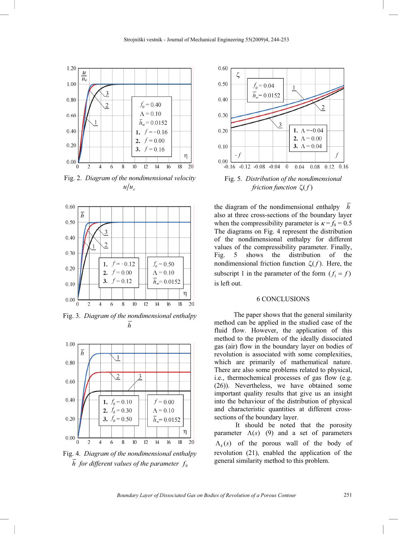

Fig. 2. *Diagram of the nondimensional velocity*   $u/u<sub>e</sub>$ 



Fig. 3. *Diagram of the nondimensional enthalpy h*



Fig. 4. *Diagram of the nondimensional enthalpy*   $\overline{h}$  for different values of the parameter  $f_0$ 



the diagram of the nondimensional enthalpy *h* also at three cross-sections of the boundary layer when the compressibility parameter is  $\kappa = f_0 = 0.5$ The diagrams on Fig. 4 represent the distribution of the nondimensional enthalpy for different values of the compressibility parameter. Finally, Fig. 5 shows the distribution of the nondimensional friction function  $\zeta(f)$ . Here, the subscript 1 in the parameter of the form  $(f_1 = f)$ is left out.

#### 6 CONCLUSIONS

The paper shows that the general similarity method can be applied in the studied case of the fluid flow. However, the application of this method to the problem of the ideally dissociated gas (air) flow in the boundary layer on bodies of revolution is associated with some complexities, which are primarily of mathematical nature. There are also some problems related to physical, i.e., thermochemical processes of gas flow (e.g. (26)). Nevertheless, we have obtained some important quality results that give us an insight into the behaviour of the distribution of physical and characteristic quantities at different crosssections of the boundary layer.

 It should be noted that the porosity parameter  $\Lambda(s)$  (9) and a set of parameters  $\Lambda_k(s)$  of the porous wall of the body of revolution (21), enabled the application of the general similarity method to this problem.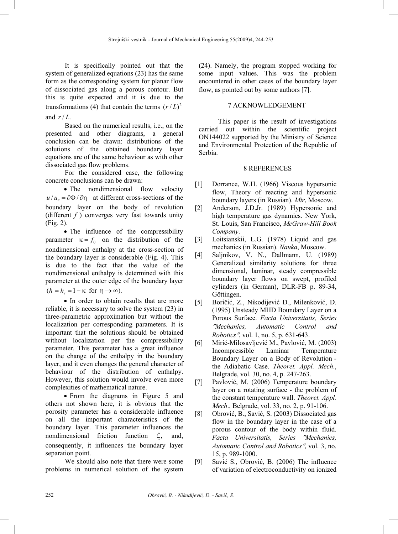It is specifically pointed out that the system of generalized equations (23) has the same form as the corresponding system for planar flow of dissociated gas along a porous contour. But this is quite expected and it is due to the transformations (4) that contain the terms  $(r/L)^2$ and  $r/L$ .

Based on the numerical results, i.e., on the presented and other diagrams, a general conclusion can be drawn: distributions of the solutions of the obtained boundary layer equations are of the same behaviour as with other dissociated gas flow problems.

For the considered case, the following concrete conclusions can be drawn:

• The nondimensional flow velocity  $u/u = \partial \Phi / \partial \eta$  at different cross-sections of the boundary layer on the body of revolution (different  $f$ ) converges very fast towards unity (Fig. 2).

• The influence of the compressibility parameter  $\kappa = f_0$  on the distribution of the nondimensional enthalpy at the cross-section of the boundary layer is considerable (Fig. 4). This is due to the fact that the value of the nondimensional enthalpy is determined with this parameter at the outer edge of the boundary layer  $(\overline{h} = \overline{h}_e = 1 - \kappa \text{ for } \eta \to \infty).$ 

• In order to obtain results that are more reliable, it is necessary to solve the system (23) in three-parametric approximation but without the localization per corresponding parameters. It is important that the solutions should be obtained without localization per the compressibility parameter. This parameter has a great influence on the change of the enthalpy in the boundary layer, and it even changes the general character of behaviour of the distribution of enthalpy. However, this solution would involve even more complexities of mathematical nature.

• From the diagrams in Figure 5 and others not shown here, it is obvious that the porosity parameter has a considerable influence on all the important characteristics of the boundary layer. This parameter influences the nondimensional friction function  $\zeta$ , and, consequently, it influences the boundary layer separation point.

We should also note that there were some problems in numerical solution of the system (24). Namely, the program stopped working for some input values. This was the problem encountered in other cases of the boundary layer flow, as pointed out by some authors  $[7]$ .

## 7 ACKNOWLEDGEMENT

This paper is the result of investigations carried out within the scientific project ON144022 supported by the Ministry of Science and Environmental Protection of the Republic of Serbia.

## 8 REFERENCES

- [1] Dorrance, W.H. (1966) Viscous hypersonic flow, Theory of reacting and hypersonic boundary layers (in Russian). *Mir*, Moscow.
- [2] Anderson, J.D.Jr. (1989) Hypersonic and high temperature gas dynamics. New York, St. Louis, San Francisco, *McGraw-Hill Book Company*.
- [3] Loitsianskii, L.G. (1978) Liquid and gas mechanics (in Russian). *Nauka*, Moscow.
- [4] Saljnikov, V. N., Dallmann, U. (1989) Generalized similarity solutions for three dimensional, laminar, steady compressible boundary layer flows on swept, profiled cylinders (in German), DLR-FB p. 89-34, Göttingen.
- [5] Boričić, Z., Nikodijević D., Milenković, D. (1995) Unsteady MHD Boundary Layer on a Porous Surface. *Facta Universitatis, Series*  <sup>s</sup>*Mechanics, Automatic Control and Robotics*", vol. 1, no. 5, p. 631-643.
- [6] Mirić-Milosavljević M., Pavlović, M. (2003) Incompressible Laminar Temperature Boundary Layer on a Body of Revolution the Adiabatic Case. *Theoret. Appl. Mech*., Belgrade, vol. 30, no. 4, p. 247-263.
- [7] Pavlović, M. (2006) Temperature boundary layer on a rotating surface - the problem of the constant temperature wall. *Theoret. Appl. Mech*., Belgrade, vol. 33, no. 2, p. 91-106.
- [8] Obrović, B., Savić, S. (2003) Dissociated gas flow in the boundary layer in the case of a porous contour of the body within fluid. *Facta Universitatis, Series* s*Mechanics,* Automatic Control and Robotics", vol. 3, no. 15, p. 989-1000.
- [9] Savić S., Obrović, B. (2006) The influence of variation of electroconductivity on ionized